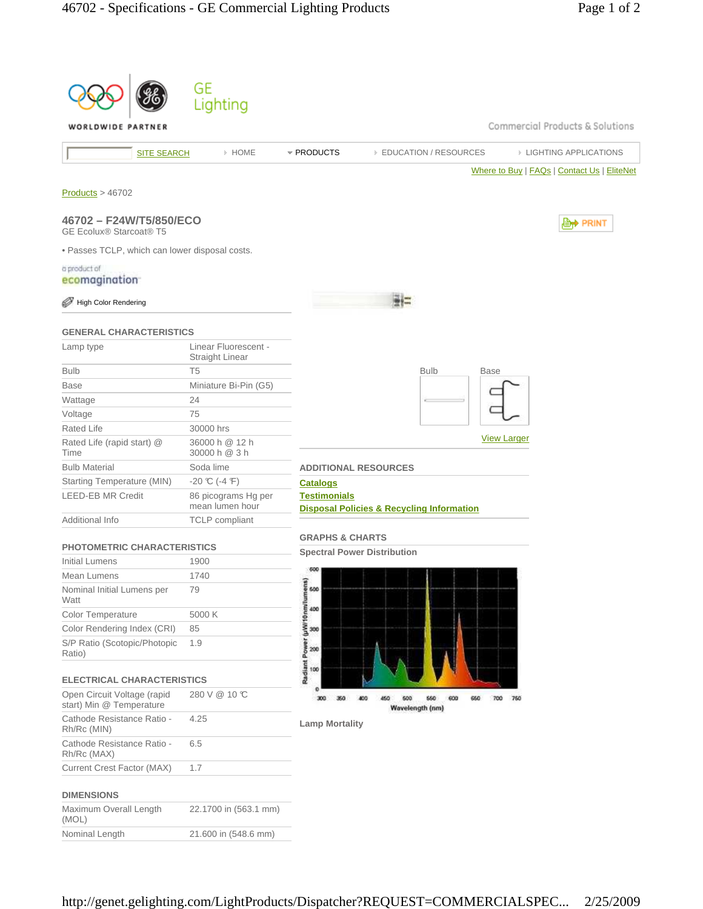|                                                           | GE                                             |                                                                                       |
|-----------------------------------------------------------|------------------------------------------------|---------------------------------------------------------------------------------------|
|                                                           | Lighting                                       |                                                                                       |
| WORLDWIDE PARTNER                                         |                                                | Commercial Products & Solutions                                                       |
|                                                           | » HOME<br><b>SITE SEARCH</b>                   | * PRODUCTS<br><b>EDUCATION / RESOURCES</b><br><b>EIGHTING APPLICATIONS</b>            |
|                                                           |                                                | Where to Buy   FAQs   Contact Us   EliteNet                                           |
| Products > 46702                                          |                                                |                                                                                       |
| 46702 - F24W/T5/850/ECO<br><b>GE Ecolux® Starcoat® T5</b> |                                                | , PRINT                                                                               |
| . Passes TCLP, which can lower disposal costs.            |                                                |                                                                                       |
| a product of                                              |                                                |                                                                                       |
| ecomagination <sup>-</sup>                                |                                                |                                                                                       |
| <b>High Color Rendering</b>                               |                                                |                                                                                       |
| <b>GENERAL CHARACTERISTICS</b>                            |                                                |                                                                                       |
| Lamp type                                                 | Linear Fluorescent -<br><b>Straight Linear</b> |                                                                                       |
| <b>Bulb</b>                                               | T <sub>5</sub>                                 | <b>Bulb</b><br><b>Base</b>                                                            |
| <b>Base</b>                                               | Miniature Bi-Pin (G5)                          |                                                                                       |
| Wattage                                                   | 24                                             |                                                                                       |
| Voltage                                                   | 75                                             |                                                                                       |
| Rated Life                                                | 30000 hrs                                      | <b>View Larger</b>                                                                    |
| Rated Life (rapid start) @<br>Time                        | 36000 h @ 12 h<br>30000 h @ 3 h                |                                                                                       |
| <b>Bulb Material</b>                                      | Soda lime                                      | <b>ADDITIONAL RESOURCES</b>                                                           |
| Starting Temperature (MIN)                                | $-20 \text{ C}$ (-4 F)                         | <b>Catalogs</b>                                                                       |
| <b>LEED-EB MR Credit</b>                                  | 86 picograms Hg per<br>mean lumen hour         | <b>Testimonials</b><br><b>Disposal Policies &amp; Recycling Information</b>           |
| Additional Info                                           | <b>TCLP</b> compliant                          |                                                                                       |
| <b>PHOTOMETRIC CHARACTERISTICS</b>                        |                                                | <b>GRAPHS &amp; CHARTS</b>                                                            |
| Initial Lumens                                            | 1900                                           | <b>Spectral Power Distribution</b>                                                    |
| Mean Lumens                                               | 1740                                           | 600                                                                                   |
| Nominal Initial Lumens per<br>Watt                        | 79                                             | ន<br>600                                                                              |
| Color Temperature                                         | 5000 K                                         | 400                                                                                   |
| Color Rendering Index (CRI)                               | 85                                             | 300                                                                                   |
| S/P Ratio (Scotopic/Photopic<br>Ratio)                    | 1.9                                            | Radiant Power (µW/10 nm/lumen<br>200                                                  |
| <b>ELECTRICAL CHARACTERISTICS</b>                         |                                                | 100                                                                                   |
| Open Circuit Voltage (rapid<br>start) Min @ Temperature   | 280 V @ 10 °C                                  | 300<br>350<br>450<br>600<br>660<br>600<br>660<br>700<br>750<br>400<br>Wavelength (nm) |
| Cathode Resistance Ratio -<br>Rh/Rc (MIN)                 | 4.25                                           | <b>Lamp Mortality</b>                                                                 |
| Cathode Resistance Ratio -<br>Rh/Rc (MAX)                 | 6.5                                            |                                                                                       |
| Current Crest Factor (MAX)                                | 1.7                                            |                                                                                       |
| <b>DIMENSIONS</b>                                         |                                                |                                                                                       |
| Maximum Overall Length<br>(MOL)                           | 22.1700 in (563.1 mm)                          |                                                                                       |
| Nominal Length                                            | 21.600 in (548.6 mm)                           |                                                                                       |
|                                                           |                                                |                                                                                       |